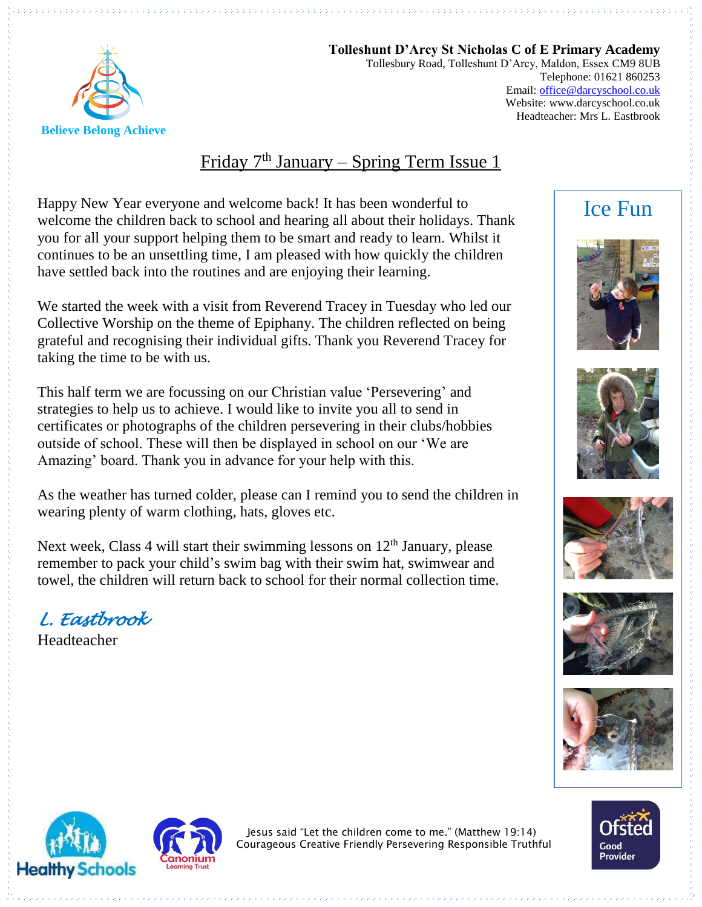

**Tolleshunt D'Arcy St Nicholas C of E Primary Academy** Tollesbury Road, Tolleshunt D'Arcy, Maldon, Essex CM9 8UB Telephone: 01621 860253 Email[: office@darcyschool.co.uk](mailto:office@darcyschool.co.uk) Website: www.darcyschool.co.uk Headteacher: Mrs L. Eastbrook

#### Friday 7<sup>th</sup> January – Spring Term Issue 1

Happy New Year everyone and welcome back! It has been wonderful to welcome the children back to school and hearing all about their holidays. Thank you for all your support helping them to be smart and ready to learn. Whilst it continues to be an unsettling time, I am pleased with how quickly the children have settled back into the routines and are enjoying their learning.

We started the week with a visit from Reverend Tracey in Tuesday who led our Collective Worship on the theme of Epiphany. The children reflected on being grateful and recognising their individual gifts. Thank you Reverend Tracey for taking the time to be with us.

This half term we are focussing on our Christian value 'Persevering' and strategies to help us to achieve. I would like to invite you all to send in certificates or photographs of the children persevering in their clubs/hobbies outside of school. These will then be displayed in school on our 'We are Amazing' board. Thank you in advance for your help with this.

As the weather has turned colder, please can I remind you to send the children in wearing plenty of warm clothing, hats, gloves etc.

Next week, Class 4 will start their swimming lessons on  $12<sup>th</sup>$  January, please remember to pack your child's swim bag with their swim hat, swimwear and towel, the children will return back to school for their normal collection time.

*L. Eastbrook* 

Headteacher

### Ice Fun















Jesus said "Let the children come to me." (Matthew 19:14) Courageous Creative Friendly Persevering Responsible Truthful